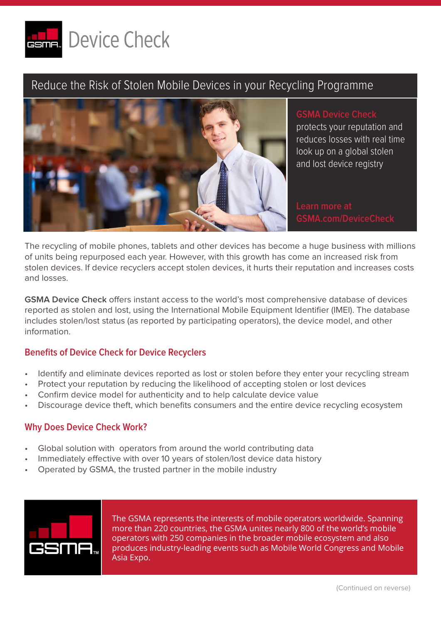

## Reduce the Risk of Stolen Mobile Devices in your Recycling Programme



**GSMA Device Check**  protects your reputation and reduces losses with real time look up on a global stolen and lost device registry

The recycling of mobile phones, tablets and other devices has become a huge business with millions of units being repurposed each year. However, with this growth has come an increased risk from stolen devices. If device recyclers accept stolen devices, it hurts their reputation and increases costs and losses.

**GSMA Device Check** offers instant access to the world's most comprehensive database of devices reported as stolen and lost, using the International Mobile Equipment Identifier (IMEI). The database includes stolen/lost status (as reported by participating operators), the device model, and other information.

#### **Benefits of Device Check for Device Recyclers**

- Identify and eliminate devices reported as lost or stolen before they enter your recycling stream
- Protect your reputation by reducing the likelihood of accepting stolen or lost devices
- Confirm device model for authenticity and to help calculate device value
- Discourage device theft, which benefits consumers and the entire device recycling ecosystem

#### **Why Does Device Check Work?**

- Global solution with operators from around the world contributing data
- Immediately effective with over 10 years of stolen/lost device data history
- Operated by GSMA, the trusted partner in the mobile industry



The GSMA represents the interests of mobile operators worldwide. Spanning more than 220 countries, the GSMA unites nearly 800 of the world's mobile operators with 250 companies in the broader mobile ecosystem and also produces industry-leading events such as Mobile World Congress and Mobile Asia Expo.